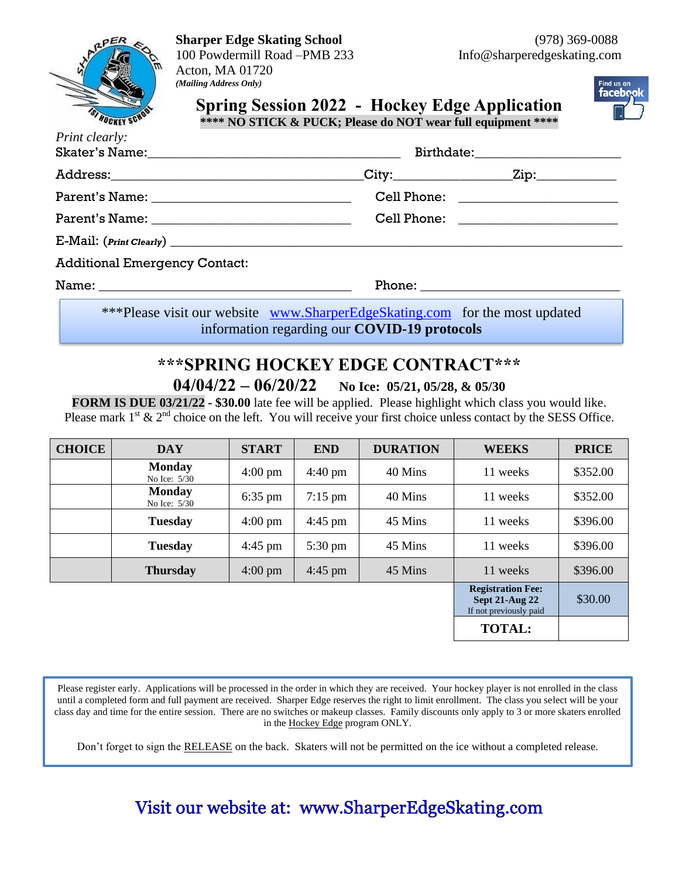## **Sharper Edge Skating School** (978) 369-0088

100 Powdermill Road –PMB 233 Info@sharperedgeskating.com Acton, MA 01720 *(Mailing Address Only)*



**Spring Session 2022 - Hockey Edge Application**



**\*\*\*\* NO STICK & PUCK; Please do NOT wear full equipment \*\*\*\***

| Print clearly:                       |                                                                             |                                     |  |
|--------------------------------------|-----------------------------------------------------------------------------|-------------------------------------|--|
|                                      |                                                                             |                                     |  |
|                                      |                                                                             | Cell Phone: _______________________ |  |
|                                      | Cell Phone: ______________________                                          |                                     |  |
|                                      |                                                                             |                                     |  |
| <b>Additional Emergency Contact:</b> |                                                                             |                                     |  |
|                                      |                                                                             |                                     |  |
|                                      | ***Please visit our website www.SharperEdgeSkating.com for the most updated |                                     |  |

information regarding our **COVID-19 protocols**

# **\*\*\*SPRING HOCKEY EDGE CONTRACT\*\*\* 04/04/22 – 06/20/22 No Ice: 05/21, 05/28, & 05/30**

**FORM IS DUE 03/21/22 - \$30.00** late fee will be applied. Please highlight which class you would like. Please mark  $1^{st}$  &  $2^{nd}$  choice on the left. You will receive your first choice unless contact by the SESS Office.

| <b>CHOICE</b> | <b>DAY</b>                      | <b>START</b>      | <b>END</b>        | <b>DURATION</b> | <b>WEEKS</b>                                                              | <b>PRICE</b> |
|---------------|---------------------------------|-------------------|-------------------|-----------------|---------------------------------------------------------------------------|--------------|
|               | <b>Monday</b><br>No Ice: $5/30$ | $4:00 \text{ pm}$ | $4:40 \text{ pm}$ | 40 Mins         | 11 weeks                                                                  | \$352.00     |
|               | <b>Monday</b><br>No Ice: 5/30   | $6:35$ pm         | $7:15$ pm         | 40 Mins         | 11 weeks                                                                  | \$352.00     |
|               | <b>Tuesday</b>                  | $4:00 \text{ pm}$ | $4:45$ pm         | 45 Mins         | 11 weeks                                                                  | \$396.00     |
|               | <b>Tuesday</b>                  | $4:45$ pm         | $5:30 \text{ pm}$ | 45 Mins         | 11 weeks                                                                  | \$396.00     |
|               | <b>Thursday</b>                 | $4:00 \text{ pm}$ | $4:45$ pm         | 45 Mins         | 11 weeks                                                                  | \$396.00     |
|               |                                 |                   |                   |                 | <b>Registration Fee:</b><br>Sept $21$ -Aug $22$<br>If not previously paid | \$30.00      |
|               |                                 |                   |                   |                 | <b>TOTAL:</b>                                                             |              |

Please register early. Applications will be processed in the order in which they are received. Your hockey player is not enrolled in the class until a completed form and full payment are received. Sharper Edge reserves the right to limit enrollment. The class you select will be your class day and time for the entire session. There are no switches or makeup classes. Family discounts only apply to 3 or more skaters enrolled in the Hockey Edge program ONLY.

Don't forget to sign the RELEASE on the back. Skaters will not be permitted on the ice without a completed release.

# Visit our website at: www.SharperEdgeSkating.com